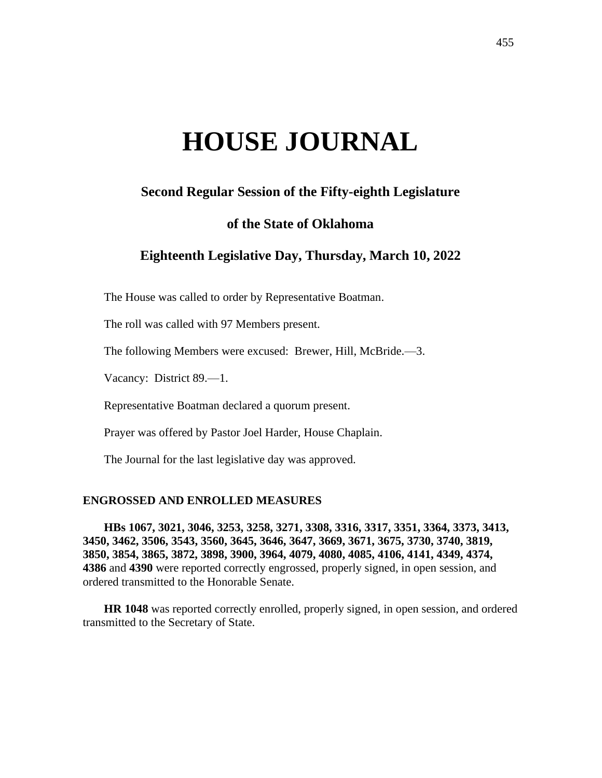# **HOUSE JOURNAL**

# **Second Regular Session of the Fifty-eighth Legislature**

# **of the State of Oklahoma**

# **Eighteenth Legislative Day, Thursday, March 10, 2022**

The House was called to order by Representative Boatman.

The roll was called with 97 Members present.

The following Members were excused: Brewer, Hill, McBride.—3.

Vacancy: District 89.—1.

Representative Boatman declared a quorum present.

Prayer was offered by Pastor Joel Harder, House Chaplain.

The Journal for the last legislative day was approved.

#### **ENGROSSED AND ENROLLED MEASURES**

**HBs 1067, 3021, 3046, 3253, 3258, 3271, 3308, 3316, 3317, 3351, 3364, 3373, 3413, 3450, 3462, 3506, 3543, 3560, 3645, 3646, 3647, 3669, 3671, 3675, 3730, 3740, 3819, 3850, 3854, 3865, 3872, 3898, 3900, 3964, 4079, 4080, 4085, 4106, 4141, 4349, 4374, 4386** and **4390** were reported correctly engrossed, properly signed, in open session, and ordered transmitted to the Honorable Senate.

**HR 1048** was reported correctly enrolled, properly signed, in open session, and ordered transmitted to the Secretary of State.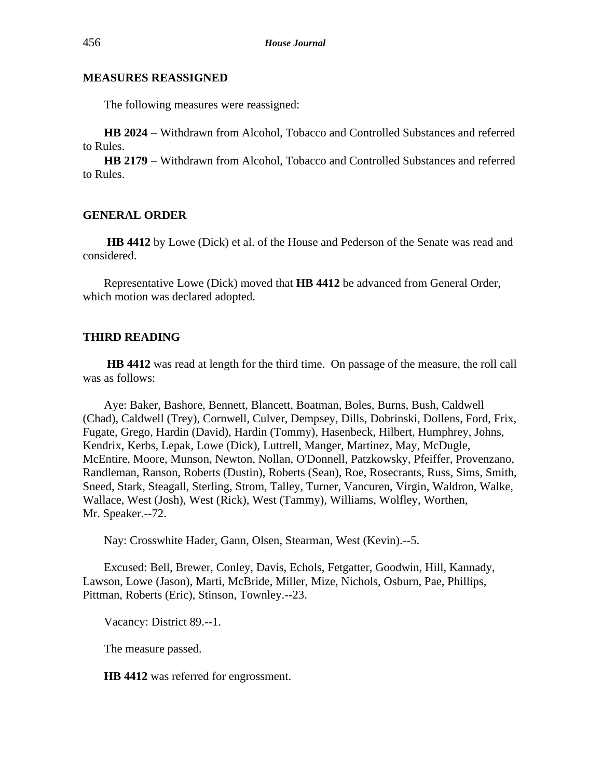### **MEASURES REASSIGNED**

The following measures were reassigned:

**HB 2024** − Withdrawn from Alcohol, Tobacco and Controlled Substances and referred to Rules.

**HB 2179** − Withdrawn from Alcohol, Tobacco and Controlled Substances and referred to Rules.

#### **GENERAL ORDER**

**HB 4412** by Lowe (Dick) et al. of the House and Pederson of the Senate was read and considered.

Representative Lowe (Dick) moved that **HB 4412** be advanced from General Order, which motion was declared adopted.

# **THIRD READING**

**HB 4412** was read at length for the third time. On passage of the measure, the roll call was as follows:

Aye: Baker, Bashore, Bennett, Blancett, Boatman, Boles, Burns, Bush, Caldwell (Chad), Caldwell (Trey), Cornwell, Culver, Dempsey, Dills, Dobrinski, Dollens, Ford, Frix, Fugate, Grego, Hardin (David), Hardin (Tommy), Hasenbeck, Hilbert, Humphrey, Johns, Kendrix, Kerbs, Lepak, Lowe (Dick), Luttrell, Manger, Martinez, May, McDugle, McEntire, Moore, Munson, Newton, Nollan, O'Donnell, Patzkowsky, Pfeiffer, Provenzano, Randleman, Ranson, Roberts (Dustin), Roberts (Sean), Roe, Rosecrants, Russ, Sims, Smith, Sneed, Stark, Steagall, Sterling, Strom, Talley, Turner, Vancuren, Virgin, Waldron, Walke, Wallace, West (Josh), West (Rick), West (Tammy), Williams, Wolfley, Worthen, Mr. Speaker.--72.

Nay: Crosswhite Hader, Gann, Olsen, Stearman, West (Kevin).--5.

Excused: Bell, Brewer, Conley, Davis, Echols, Fetgatter, Goodwin, Hill, Kannady, Lawson, Lowe (Jason), Marti, McBride, Miller, Mize, Nichols, Osburn, Pae, Phillips, Pittman, Roberts (Eric), Stinson, Townley.--23.

Vacancy: District 89.--1.

The measure passed.

**HB 4412** was referred for engrossment.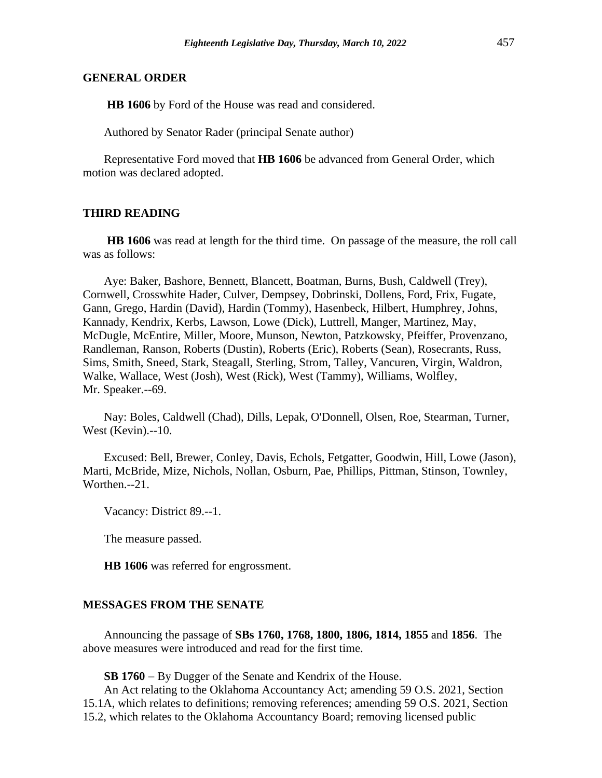**HB 1606** by Ford of the House was read and considered.

Authored by Senator Rader (principal Senate author)

Representative Ford moved that **HB 1606** be advanced from General Order, which motion was declared adopted.

#### **THIRD READING**

**HB 1606** was read at length for the third time. On passage of the measure, the roll call was as follows:

Aye: Baker, Bashore, Bennett, Blancett, Boatman, Burns, Bush, Caldwell (Trey), Cornwell, Crosswhite Hader, Culver, Dempsey, Dobrinski, Dollens, Ford, Frix, Fugate, Gann, Grego, Hardin (David), Hardin (Tommy), Hasenbeck, Hilbert, Humphrey, Johns, Kannady, Kendrix, Kerbs, Lawson, Lowe (Dick), Luttrell, Manger, Martinez, May, McDugle, McEntire, Miller, Moore, Munson, Newton, Patzkowsky, Pfeiffer, Provenzano, Randleman, Ranson, Roberts (Dustin), Roberts (Eric), Roberts (Sean), Rosecrants, Russ, Sims, Smith, Sneed, Stark, Steagall, Sterling, Strom, Talley, Vancuren, Virgin, Waldron, Walke, Wallace, West (Josh), West (Rick), West (Tammy), Williams, Wolfley, Mr. Speaker.--69.

Nay: Boles, Caldwell (Chad), Dills, Lepak, O'Donnell, Olsen, Roe, Stearman, Turner, West (Kevin).--10.

Excused: Bell, Brewer, Conley, Davis, Echols, Fetgatter, Goodwin, Hill, Lowe (Jason), Marti, McBride, Mize, Nichols, Nollan, Osburn, Pae, Phillips, Pittman, Stinson, Townley, Worthen.--21.

Vacancy: District 89.--1.

The measure passed.

**HB 1606** was referred for engrossment.

#### **MESSAGES FROM THE SENATE**

Announcing the passage of **SBs 1760, 1768, 1800, 1806, 1814, 1855** and **1856**. The above measures were introduced and read for the first time.

**SB 1760** − By Dugger of the Senate and Kendrix of the House.

An Act relating to the Oklahoma Accountancy Act; amending 59 O.S. 2021, Section 15.1A, which relates to definitions; removing references; amending 59 O.S. 2021, Section 15.2, which relates to the Oklahoma Accountancy Board; removing licensed public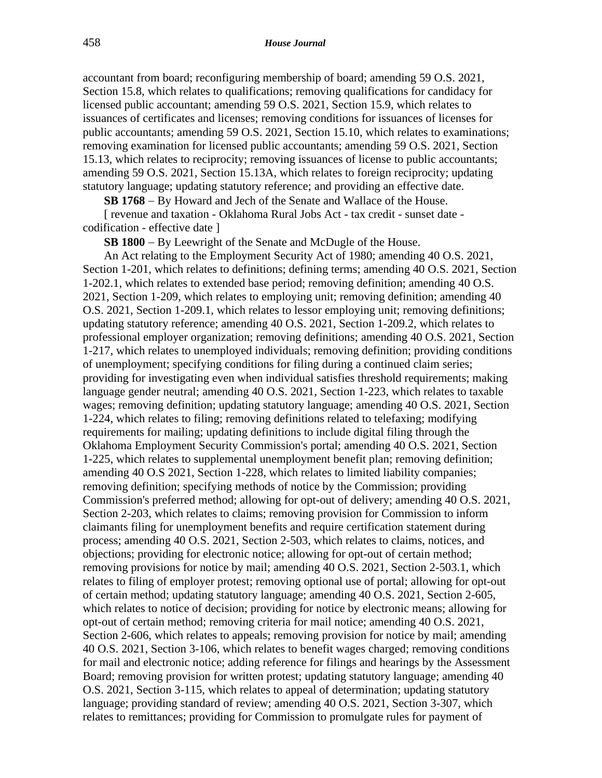accountant from board; reconfiguring membership of board; amending 59 O.S. 2021, Section 15.8, which relates to qualifications; removing qualifications for candidacy for licensed public accountant; amending 59 O.S. 2021, Section 15.9, which relates to issuances of certificates and licenses; removing conditions for issuances of licenses for public accountants; amending 59 O.S. 2021, Section 15.10, which relates to examinations; removing examination for licensed public accountants; amending 59 O.S. 2021, Section 15.13, which relates to reciprocity; removing issuances of license to public accountants; amending 59 O.S. 2021, Section 15.13A, which relates to foreign reciprocity; updating statutory language; updating statutory reference; and providing an effective date.

**SB 1768** − By Howard and Jech of the Senate and Wallace of the House.

[ revenue and taxation - Oklahoma Rural Jobs Act - tax credit - sunset date codification - effective date ]

**SB 1800** − By Leewright of the Senate and McDugle of the House.

An Act relating to the Employment Security Act of 1980; amending 40 O.S. 2021, Section 1-201, which relates to definitions; defining terms; amending 40 O.S. 2021, Section 1-202.1, which relates to extended base period; removing definition; amending 40 O.S. 2021, Section 1-209, which relates to employing unit; removing definition; amending 40 O.S. 2021, Section 1-209.1, which relates to lessor employing unit; removing definitions; updating statutory reference; amending 40 O.S. 2021, Section 1-209.2, which relates to professional employer organization; removing definitions; amending 40 O.S. 2021, Section 1-217, which relates to unemployed individuals; removing definition; providing conditions of unemployment; specifying conditions for filing during a continued claim series; providing for investigating even when individual satisfies threshold requirements; making language gender neutral; amending 40 O.S. 2021, Section 1-223, which relates to taxable wages; removing definition; updating statutory language; amending 40 O.S. 2021, Section 1-224, which relates to filing; removing definitions related to telefaxing; modifying requirements for mailing; updating definitions to include digital filing through the Oklahoma Employment Security Commission's portal; amending 40 O.S. 2021, Section 1-225, which relates to supplemental unemployment benefit plan; removing definition; amending 40 O.S 2021, Section 1-228, which relates to limited liability companies; removing definition; specifying methods of notice by the Commission; providing Commission's preferred method; allowing for opt-out of delivery; amending 40 O.S. 2021, Section 2-203, which relates to claims; removing provision for Commission to inform claimants filing for unemployment benefits and require certification statement during process; amending 40 O.S. 2021, Section 2-503, which relates to claims, notices, and objections; providing for electronic notice; allowing for opt-out of certain method; removing provisions for notice by mail; amending 40 O.S. 2021, Section 2-503.1, which relates to filing of employer protest; removing optional use of portal; allowing for opt-out of certain method; updating statutory language; amending 40 O.S. 2021, Section 2-605, which relates to notice of decision; providing for notice by electronic means; allowing for opt-out of certain method; removing criteria for mail notice; amending 40 O.S. 2021, Section 2-606, which relates to appeals; removing provision for notice by mail; amending 40 O.S. 2021, Section 3-106, which relates to benefit wages charged; removing conditions for mail and electronic notice; adding reference for filings and hearings by the Assessment Board; removing provision for written protest; updating statutory language; amending 40 O.S. 2021, Section 3-115, which relates to appeal of determination; updating statutory language; providing standard of review; amending 40 O.S. 2021, Section 3-307, which relates to remittances; providing for Commission to promulgate rules for payment of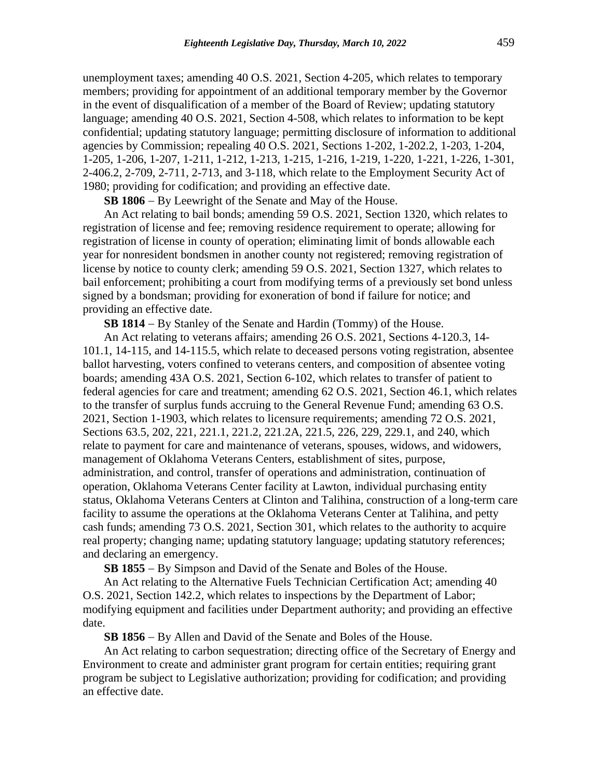unemployment taxes; amending 40 O.S. 2021, Section 4-205, which relates to temporary members; providing for appointment of an additional temporary member by the Governor in the event of disqualification of a member of the Board of Review; updating statutory language; amending 40 O.S. 2021, Section 4-508, which relates to information to be kept confidential; updating statutory language; permitting disclosure of information to additional agencies by Commission; repealing 40 O.S. 2021, Sections 1-202, 1-202.2, 1-203, 1-204, 1-205, 1-206, 1-207, 1-211, 1-212, 1-213, 1-215, 1-216, 1-219, 1-220, 1-221, 1-226, 1-301, 2-406.2, 2-709, 2-711, 2-713, and 3-118, which relate to the Employment Security Act of 1980; providing for codification; and providing an effective date.

**SB 1806** − By Leewright of the Senate and May of the House.

An Act relating to bail bonds; amending 59 O.S. 2021, Section 1320, which relates to registration of license and fee; removing residence requirement to operate; allowing for registration of license in county of operation; eliminating limit of bonds allowable each year for nonresident bondsmen in another county not registered; removing registration of license by notice to county clerk; amending 59 O.S. 2021, Section 1327, which relates to bail enforcement; prohibiting a court from modifying terms of a previously set bond unless signed by a bondsman; providing for exoneration of bond if failure for notice; and providing an effective date.

**SB 1814** − By Stanley of the Senate and Hardin (Tommy) of the House.

An Act relating to veterans affairs; amending 26 O.S. 2021, Sections 4-120.3, 14- 101.1, 14-115, and 14-115.5, which relate to deceased persons voting registration, absentee ballot harvesting, voters confined to veterans centers, and composition of absentee voting boards; amending 43A O.S. 2021, Section 6-102, which relates to transfer of patient to federal agencies for care and treatment; amending 62 O.S. 2021, Section 46.1, which relates to the transfer of surplus funds accruing to the General Revenue Fund; amending 63 O.S. 2021, Section 1-1903, which relates to licensure requirements; amending 72 O.S. 2021, Sections 63.5, 202, 221, 221.1, 221.2, 221.2A, 221.5, 226, 229, 229.1, and 240, which relate to payment for care and maintenance of veterans, spouses, widows, and widowers, management of Oklahoma Veterans Centers, establishment of sites, purpose, administration, and control, transfer of operations and administration, continuation of operation, Oklahoma Veterans Center facility at Lawton, individual purchasing entity status, Oklahoma Veterans Centers at Clinton and Talihina, construction of a long-term care facility to assume the operations at the Oklahoma Veterans Center at Talihina, and petty cash funds; amending 73 O.S. 2021, Section 301, which relates to the authority to acquire real property; changing name; updating statutory language; updating statutory references; and declaring an emergency.

**SB 1855** − By Simpson and David of the Senate and Boles of the House.

An Act relating to the Alternative Fuels Technician Certification Act; amending 40 O.S. 2021, Section 142.2, which relates to inspections by the Department of Labor; modifying equipment and facilities under Department authority; and providing an effective date.

**SB 1856** − By Allen and David of the Senate and Boles of the House.

An Act relating to carbon sequestration; directing office of the Secretary of Energy and Environment to create and administer grant program for certain entities; requiring grant program be subject to Legislative authorization; providing for codification; and providing an effective date.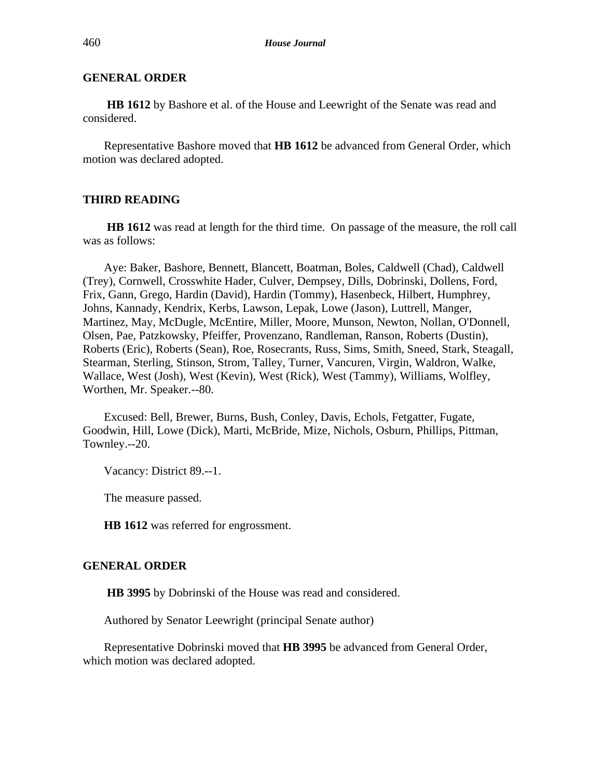**HB 1612** by Bashore et al. of the House and Leewright of the Senate was read and considered.

Representative Bashore moved that **HB 1612** be advanced from General Order, which motion was declared adopted.

# **THIRD READING**

**HB 1612** was read at length for the third time. On passage of the measure, the roll call was as follows:

Aye: Baker, Bashore, Bennett, Blancett, Boatman, Boles, Caldwell (Chad), Caldwell (Trey), Cornwell, Crosswhite Hader, Culver, Dempsey, Dills, Dobrinski, Dollens, Ford, Frix, Gann, Grego, Hardin (David), Hardin (Tommy), Hasenbeck, Hilbert, Humphrey, Johns, Kannady, Kendrix, Kerbs, Lawson, Lepak, Lowe (Jason), Luttrell, Manger, Martinez, May, McDugle, McEntire, Miller, Moore, Munson, Newton, Nollan, O'Donnell, Olsen, Pae, Patzkowsky, Pfeiffer, Provenzano, Randleman, Ranson, Roberts (Dustin), Roberts (Eric), Roberts (Sean), Roe, Rosecrants, Russ, Sims, Smith, Sneed, Stark, Steagall, Stearman, Sterling, Stinson, Strom, Talley, Turner, Vancuren, Virgin, Waldron, Walke, Wallace, West (Josh), West (Kevin), West (Rick), West (Tammy), Williams, Wolfley, Worthen, Mr. Speaker.--80.

Excused: Bell, Brewer, Burns, Bush, Conley, Davis, Echols, Fetgatter, Fugate, Goodwin, Hill, Lowe (Dick), Marti, McBride, Mize, Nichols, Osburn, Phillips, Pittman, Townley.--20.

Vacancy: District 89.--1.

The measure passed.

**HB 1612** was referred for engrossment.

#### **GENERAL ORDER**

**HB 3995** by Dobrinski of the House was read and considered.

Authored by Senator Leewright (principal Senate author)

Representative Dobrinski moved that **HB 3995** be advanced from General Order, which motion was declared adopted.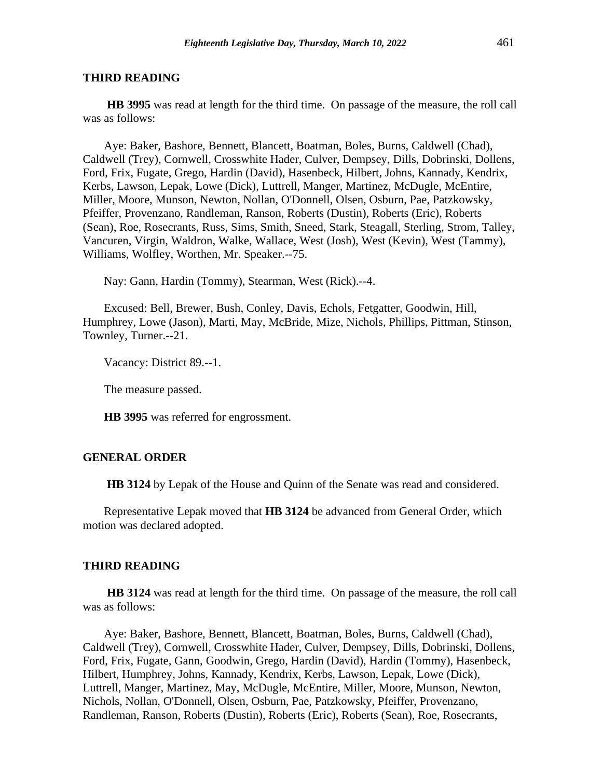#### **THIRD READING**

**HB 3995** was read at length for the third time. On passage of the measure, the roll call was as follows:

Aye: Baker, Bashore, Bennett, Blancett, Boatman, Boles, Burns, Caldwell (Chad), Caldwell (Trey), Cornwell, Crosswhite Hader, Culver, Dempsey, Dills, Dobrinski, Dollens, Ford, Frix, Fugate, Grego, Hardin (David), Hasenbeck, Hilbert, Johns, Kannady, Kendrix, Kerbs, Lawson, Lepak, Lowe (Dick), Luttrell, Manger, Martinez, McDugle, McEntire, Miller, Moore, Munson, Newton, Nollan, O'Donnell, Olsen, Osburn, Pae, Patzkowsky, Pfeiffer, Provenzano, Randleman, Ranson, Roberts (Dustin), Roberts (Eric), Roberts (Sean), Roe, Rosecrants, Russ, Sims, Smith, Sneed, Stark, Steagall, Sterling, Strom, Talley, Vancuren, Virgin, Waldron, Walke, Wallace, West (Josh), West (Kevin), West (Tammy), Williams, Wolfley, Worthen, Mr. Speaker.--75.

Nay: Gann, Hardin (Tommy), Stearman, West (Rick).--4.

Excused: Bell, Brewer, Bush, Conley, Davis, Echols, Fetgatter, Goodwin, Hill, Humphrey, Lowe (Jason), Marti, May, McBride, Mize, Nichols, Phillips, Pittman, Stinson, Townley, Turner.--21.

Vacancy: District 89.--1.

The measure passed.

**HB 3995** was referred for engrossment.

#### **GENERAL ORDER**

**HB 3124** by Lepak of the House and Quinn of the Senate was read and considered.

Representative Lepak moved that **HB 3124** be advanced from General Order, which motion was declared adopted.

#### **THIRD READING**

**HB 3124** was read at length for the third time. On passage of the measure, the roll call was as follows:

Aye: Baker, Bashore, Bennett, Blancett, Boatman, Boles, Burns, Caldwell (Chad), Caldwell (Trey), Cornwell, Crosswhite Hader, Culver, Dempsey, Dills, Dobrinski, Dollens, Ford, Frix, Fugate, Gann, Goodwin, Grego, Hardin (David), Hardin (Tommy), Hasenbeck, Hilbert, Humphrey, Johns, Kannady, Kendrix, Kerbs, Lawson, Lepak, Lowe (Dick), Luttrell, Manger, Martinez, May, McDugle, McEntire, Miller, Moore, Munson, Newton, Nichols, Nollan, O'Donnell, Olsen, Osburn, Pae, Patzkowsky, Pfeiffer, Provenzano, Randleman, Ranson, Roberts (Dustin), Roberts (Eric), Roberts (Sean), Roe, Rosecrants,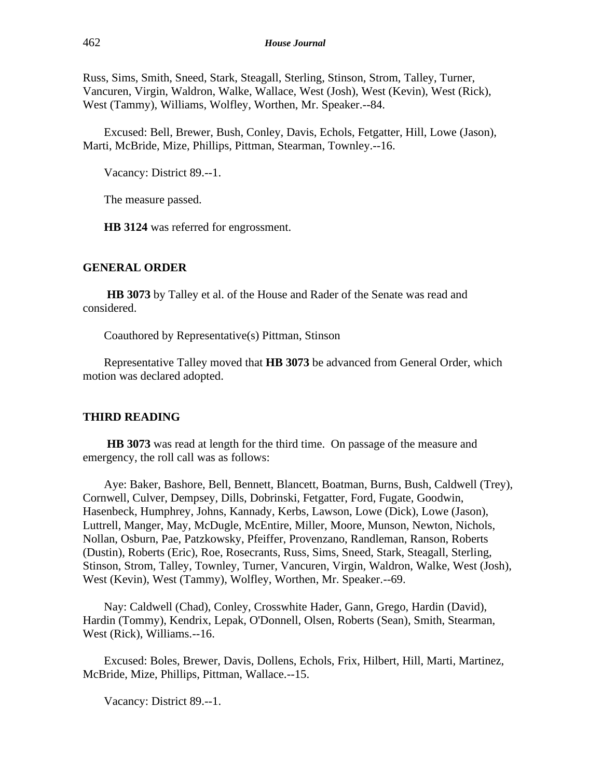Russ, Sims, Smith, Sneed, Stark, Steagall, Sterling, Stinson, Strom, Talley, Turner, Vancuren, Virgin, Waldron, Walke, Wallace, West (Josh), West (Kevin), West (Rick), West (Tammy), Williams, Wolfley, Worthen, Mr. Speaker.--84.

Excused: Bell, Brewer, Bush, Conley, Davis, Echols, Fetgatter, Hill, Lowe (Jason), Marti, McBride, Mize, Phillips, Pittman, Stearman, Townley.--16.

Vacancy: District 89.--1.

The measure passed.

**HB 3124** was referred for engrossment.

#### **GENERAL ORDER**

**HB 3073** by Talley et al. of the House and Rader of the Senate was read and considered.

Coauthored by Representative(s) Pittman, Stinson

Representative Talley moved that **HB 3073** be advanced from General Order, which motion was declared adopted.

# **THIRD READING**

**HB 3073** was read at length for the third time. On passage of the measure and emergency, the roll call was as follows:

Aye: Baker, Bashore, Bell, Bennett, Blancett, Boatman, Burns, Bush, Caldwell (Trey), Cornwell, Culver, Dempsey, Dills, Dobrinski, Fetgatter, Ford, Fugate, Goodwin, Hasenbeck, Humphrey, Johns, Kannady, Kerbs, Lawson, Lowe (Dick), Lowe (Jason), Luttrell, Manger, May, McDugle, McEntire, Miller, Moore, Munson, Newton, Nichols, Nollan, Osburn, Pae, Patzkowsky, Pfeiffer, Provenzano, Randleman, Ranson, Roberts (Dustin), Roberts (Eric), Roe, Rosecrants, Russ, Sims, Sneed, Stark, Steagall, Sterling, Stinson, Strom, Talley, Townley, Turner, Vancuren, Virgin, Waldron, Walke, West (Josh), West (Kevin), West (Tammy), Wolfley, Worthen, Mr. Speaker.--69.

Nay: Caldwell (Chad), Conley, Crosswhite Hader, Gann, Grego, Hardin (David), Hardin (Tommy), Kendrix, Lepak, O'Donnell, Olsen, Roberts (Sean), Smith, Stearman, West (Rick), Williams.--16.

Excused: Boles, Brewer, Davis, Dollens, Echols, Frix, Hilbert, Hill, Marti, Martinez, McBride, Mize, Phillips, Pittman, Wallace.--15.

Vacancy: District 89.--1.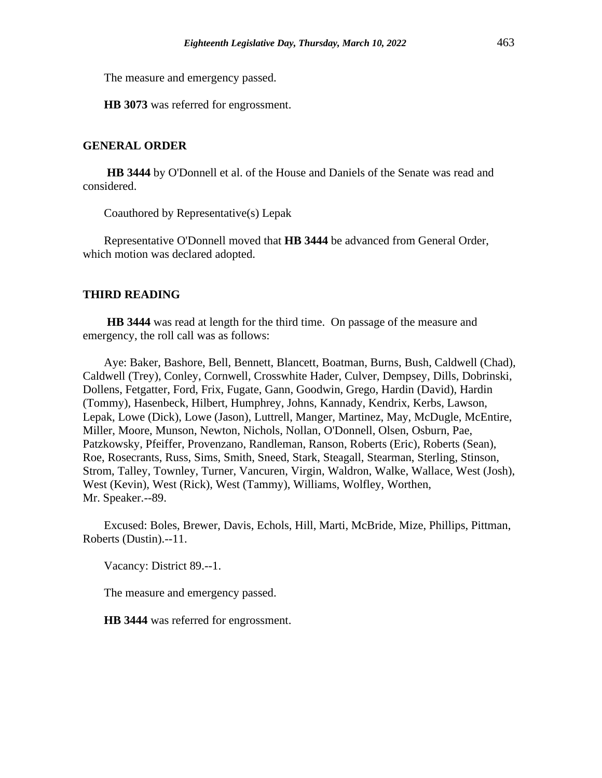The measure and emergency passed.

**HB 3073** was referred for engrossment.

# **GENERAL ORDER**

**HB 3444** by O'Donnell et al. of the House and Daniels of the Senate was read and considered.

Coauthored by Representative(s) Lepak

Representative O'Donnell moved that **HB 3444** be advanced from General Order, which motion was declared adopted.

# **THIRD READING**

**HB 3444** was read at length for the third time. On passage of the measure and emergency, the roll call was as follows:

Aye: Baker, Bashore, Bell, Bennett, Blancett, Boatman, Burns, Bush, Caldwell (Chad), Caldwell (Trey), Conley, Cornwell, Crosswhite Hader, Culver, Dempsey, Dills, Dobrinski, Dollens, Fetgatter, Ford, Frix, Fugate, Gann, Goodwin, Grego, Hardin (David), Hardin (Tommy), Hasenbeck, Hilbert, Humphrey, Johns, Kannady, Kendrix, Kerbs, Lawson, Lepak, Lowe (Dick), Lowe (Jason), Luttrell, Manger, Martinez, May, McDugle, McEntire, Miller, Moore, Munson, Newton, Nichols, Nollan, O'Donnell, Olsen, Osburn, Pae, Patzkowsky, Pfeiffer, Provenzano, Randleman, Ranson, Roberts (Eric), Roberts (Sean), Roe, Rosecrants, Russ, Sims, Smith, Sneed, Stark, Steagall, Stearman, Sterling, Stinson, Strom, Talley, Townley, Turner, Vancuren, Virgin, Waldron, Walke, Wallace, West (Josh), West (Kevin), West (Rick), West (Tammy), Williams, Wolfley, Worthen, Mr. Speaker.--89.

Excused: Boles, Brewer, Davis, Echols, Hill, Marti, McBride, Mize, Phillips, Pittman, Roberts (Dustin).--11.

Vacancy: District 89.--1.

The measure and emergency passed.

**HB 3444** was referred for engrossment.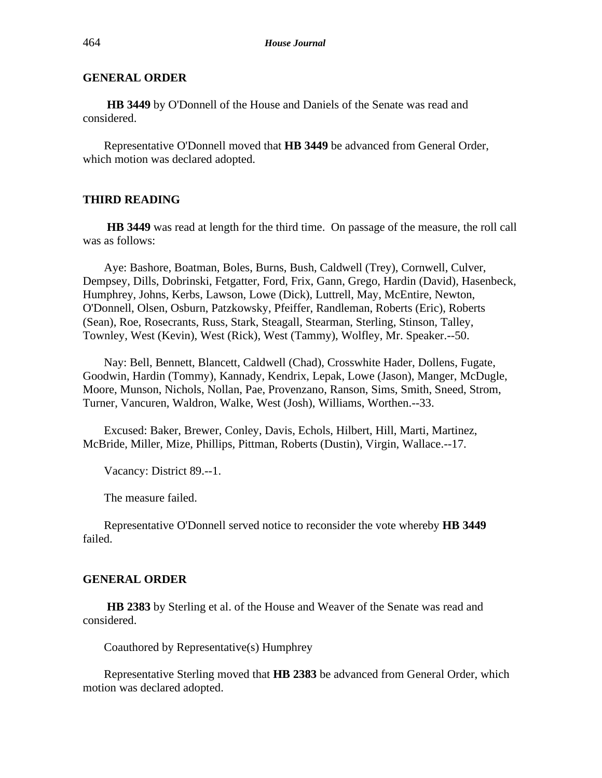**HB 3449** by O'Donnell of the House and Daniels of the Senate was read and considered.

Representative O'Donnell moved that **HB 3449** be advanced from General Order, which motion was declared adopted.

# **THIRD READING**

**HB 3449** was read at length for the third time. On passage of the measure, the roll call was as follows:

Aye: Bashore, Boatman, Boles, Burns, Bush, Caldwell (Trey), Cornwell, Culver, Dempsey, Dills, Dobrinski, Fetgatter, Ford, Frix, Gann, Grego, Hardin (David), Hasenbeck, Humphrey, Johns, Kerbs, Lawson, Lowe (Dick), Luttrell, May, McEntire, Newton, O'Donnell, Olsen, Osburn, Patzkowsky, Pfeiffer, Randleman, Roberts (Eric), Roberts (Sean), Roe, Rosecrants, Russ, Stark, Steagall, Stearman, Sterling, Stinson, Talley, Townley, West (Kevin), West (Rick), West (Tammy), Wolfley, Mr. Speaker.--50.

Nay: Bell, Bennett, Blancett, Caldwell (Chad), Crosswhite Hader, Dollens, Fugate, Goodwin, Hardin (Tommy), Kannady, Kendrix, Lepak, Lowe (Jason), Manger, McDugle, Moore, Munson, Nichols, Nollan, Pae, Provenzano, Ranson, Sims, Smith, Sneed, Strom, Turner, Vancuren, Waldron, Walke, West (Josh), Williams, Worthen.--33.

Excused: Baker, Brewer, Conley, Davis, Echols, Hilbert, Hill, Marti, Martinez, McBride, Miller, Mize, Phillips, Pittman, Roberts (Dustin), Virgin, Wallace.--17.

Vacancy: District 89.--1.

The measure failed.

Representative O'Donnell served notice to reconsider the vote whereby **HB 3449** failed.

#### **GENERAL ORDER**

**HB 2383** by Sterling et al. of the House and Weaver of the Senate was read and considered.

Coauthored by Representative(s) Humphrey

Representative Sterling moved that **HB 2383** be advanced from General Order, which motion was declared adopted.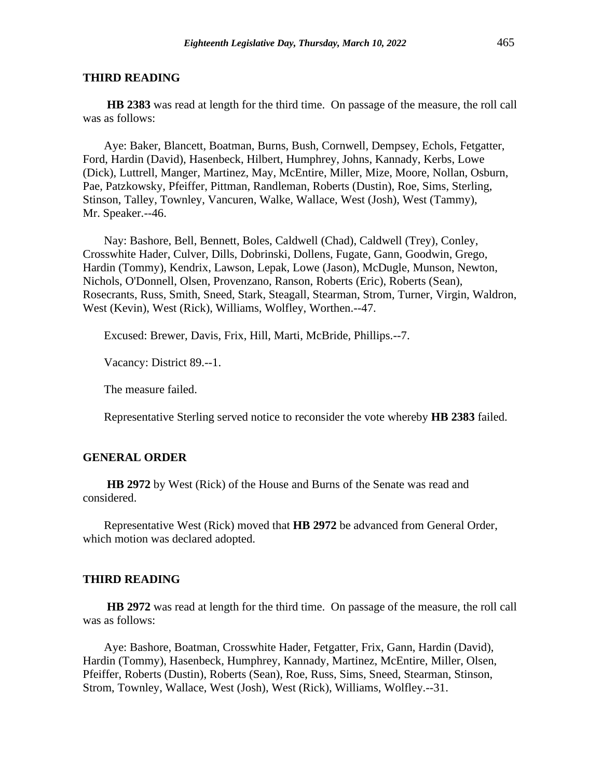#### **THIRD READING**

**HB 2383** was read at length for the third time. On passage of the measure, the roll call was as follows:

Aye: Baker, Blancett, Boatman, Burns, Bush, Cornwell, Dempsey, Echols, Fetgatter, Ford, Hardin (David), Hasenbeck, Hilbert, Humphrey, Johns, Kannady, Kerbs, Lowe (Dick), Luttrell, Manger, Martinez, May, McEntire, Miller, Mize, Moore, Nollan, Osburn, Pae, Patzkowsky, Pfeiffer, Pittman, Randleman, Roberts (Dustin), Roe, Sims, Sterling, Stinson, Talley, Townley, Vancuren, Walke, Wallace, West (Josh), West (Tammy), Mr. Speaker.--46.

Nay: Bashore, Bell, Bennett, Boles, Caldwell (Chad), Caldwell (Trey), Conley, Crosswhite Hader, Culver, Dills, Dobrinski, Dollens, Fugate, Gann, Goodwin, Grego, Hardin (Tommy), Kendrix, Lawson, Lepak, Lowe (Jason), McDugle, Munson, Newton, Nichols, O'Donnell, Olsen, Provenzano, Ranson, Roberts (Eric), Roberts (Sean), Rosecrants, Russ, Smith, Sneed, Stark, Steagall, Stearman, Strom, Turner, Virgin, Waldron, West (Kevin), West (Rick), Williams, Wolfley, Worthen.--47.

Excused: Brewer, Davis, Frix, Hill, Marti, McBride, Phillips.--7.

Vacancy: District 89.--1.

The measure failed.

Representative Sterling served notice to reconsider the vote whereby **HB 2383** failed.

#### **GENERAL ORDER**

**HB 2972** by West (Rick) of the House and Burns of the Senate was read and considered.

Representative West (Rick) moved that **HB 2972** be advanced from General Order, which motion was declared adopted.

#### **THIRD READING**

**HB 2972** was read at length for the third time. On passage of the measure, the roll call was as follows:

Aye: Bashore, Boatman, Crosswhite Hader, Fetgatter, Frix, Gann, Hardin (David), Hardin (Tommy), Hasenbeck, Humphrey, Kannady, Martinez, McEntire, Miller, Olsen, Pfeiffer, Roberts (Dustin), Roberts (Sean), Roe, Russ, Sims, Sneed, Stearman, Stinson, Strom, Townley, Wallace, West (Josh), West (Rick), Williams, Wolfley.--31.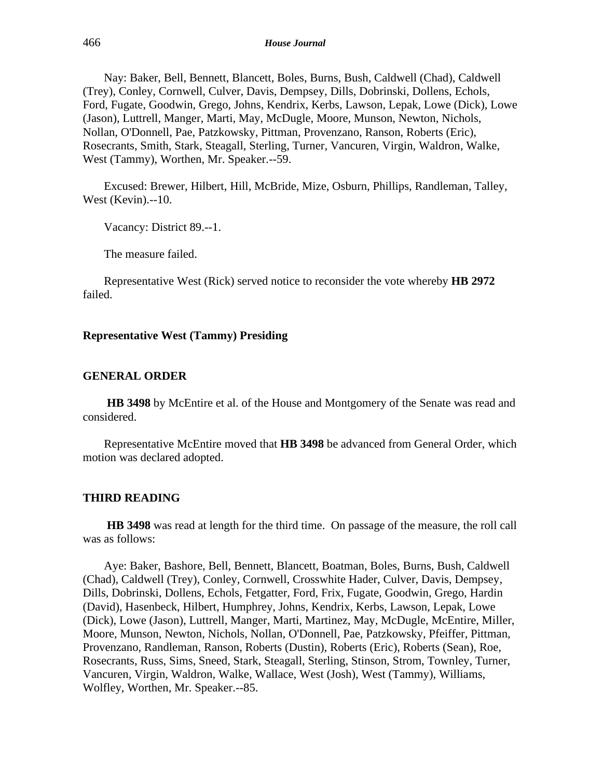Nay: Baker, Bell, Bennett, Blancett, Boles, Burns, Bush, Caldwell (Chad), Caldwell (Trey), Conley, Cornwell, Culver, Davis, Dempsey, Dills, Dobrinski, Dollens, Echols, Ford, Fugate, Goodwin, Grego, Johns, Kendrix, Kerbs, Lawson, Lepak, Lowe (Dick), Lowe (Jason), Luttrell, Manger, Marti, May, McDugle, Moore, Munson, Newton, Nichols, Nollan, O'Donnell, Pae, Patzkowsky, Pittman, Provenzano, Ranson, Roberts (Eric), Rosecrants, Smith, Stark, Steagall, Sterling, Turner, Vancuren, Virgin, Waldron, Walke, West (Tammy), Worthen, Mr. Speaker.--59.

Excused: Brewer, Hilbert, Hill, McBride, Mize, Osburn, Phillips, Randleman, Talley, West (Kevin).--10.

Vacancy: District 89.--1.

The measure failed.

Representative West (Rick) served notice to reconsider the vote whereby **HB 2972** failed.

#### **Representative West (Tammy) Presiding**

#### **GENERAL ORDER**

**HB 3498** by McEntire et al. of the House and Montgomery of the Senate was read and considered.

Representative McEntire moved that **HB 3498** be advanced from General Order, which motion was declared adopted.

#### **THIRD READING**

**HB 3498** was read at length for the third time. On passage of the measure, the roll call was as follows:

Aye: Baker, Bashore, Bell, Bennett, Blancett, Boatman, Boles, Burns, Bush, Caldwell (Chad), Caldwell (Trey), Conley, Cornwell, Crosswhite Hader, Culver, Davis, Dempsey, Dills, Dobrinski, Dollens, Echols, Fetgatter, Ford, Frix, Fugate, Goodwin, Grego, Hardin (David), Hasenbeck, Hilbert, Humphrey, Johns, Kendrix, Kerbs, Lawson, Lepak, Lowe (Dick), Lowe (Jason), Luttrell, Manger, Marti, Martinez, May, McDugle, McEntire, Miller, Moore, Munson, Newton, Nichols, Nollan, O'Donnell, Pae, Patzkowsky, Pfeiffer, Pittman, Provenzano, Randleman, Ranson, Roberts (Dustin), Roberts (Eric), Roberts (Sean), Roe, Rosecrants, Russ, Sims, Sneed, Stark, Steagall, Sterling, Stinson, Strom, Townley, Turner, Vancuren, Virgin, Waldron, Walke, Wallace, West (Josh), West (Tammy), Williams, Wolfley, Worthen, Mr. Speaker.--85.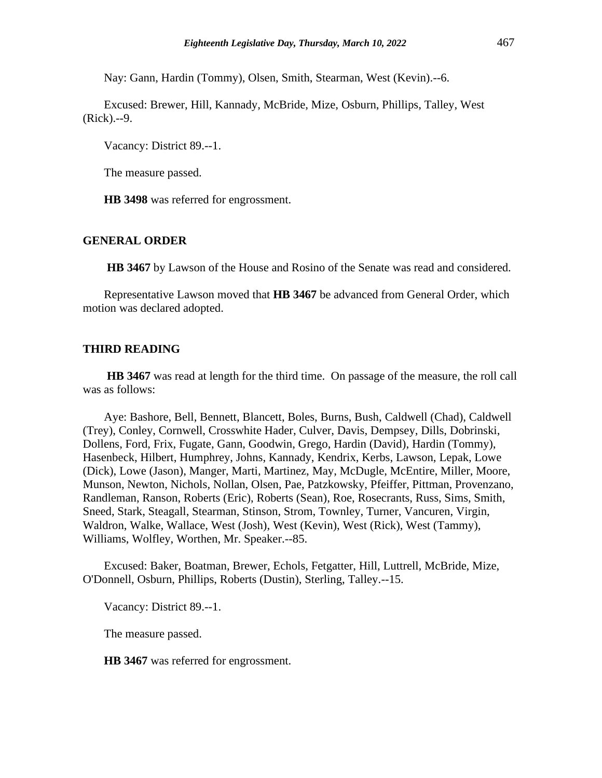Nay: Gann, Hardin (Tommy), Olsen, Smith, Stearman, West (Kevin).--6.

Excused: Brewer, Hill, Kannady, McBride, Mize, Osburn, Phillips, Talley, West (Rick).--9.

Vacancy: District 89.--1.

The measure passed.

**HB 3498** was referred for engrossment.

#### **GENERAL ORDER**

**HB 3467** by Lawson of the House and Rosino of the Senate was read and considered.

Representative Lawson moved that **HB 3467** be advanced from General Order, which motion was declared adopted.

#### **THIRD READING**

**HB 3467** was read at length for the third time. On passage of the measure, the roll call was as follows:

Aye: Bashore, Bell, Bennett, Blancett, Boles, Burns, Bush, Caldwell (Chad), Caldwell (Trey), Conley, Cornwell, Crosswhite Hader, Culver, Davis, Dempsey, Dills, Dobrinski, Dollens, Ford, Frix, Fugate, Gann, Goodwin, Grego, Hardin (David), Hardin (Tommy), Hasenbeck, Hilbert, Humphrey, Johns, Kannady, Kendrix, Kerbs, Lawson, Lepak, Lowe (Dick), Lowe (Jason), Manger, Marti, Martinez, May, McDugle, McEntire, Miller, Moore, Munson, Newton, Nichols, Nollan, Olsen, Pae, Patzkowsky, Pfeiffer, Pittman, Provenzano, Randleman, Ranson, Roberts (Eric), Roberts (Sean), Roe, Rosecrants, Russ, Sims, Smith, Sneed, Stark, Steagall, Stearman, Stinson, Strom, Townley, Turner, Vancuren, Virgin, Waldron, Walke, Wallace, West (Josh), West (Kevin), West (Rick), West (Tammy), Williams, Wolfley, Worthen, Mr. Speaker.--85.

Excused: Baker, Boatman, Brewer, Echols, Fetgatter, Hill, Luttrell, McBride, Mize, O'Donnell, Osburn, Phillips, Roberts (Dustin), Sterling, Talley.--15.

Vacancy: District 89.--1.

The measure passed.

**HB 3467** was referred for engrossment.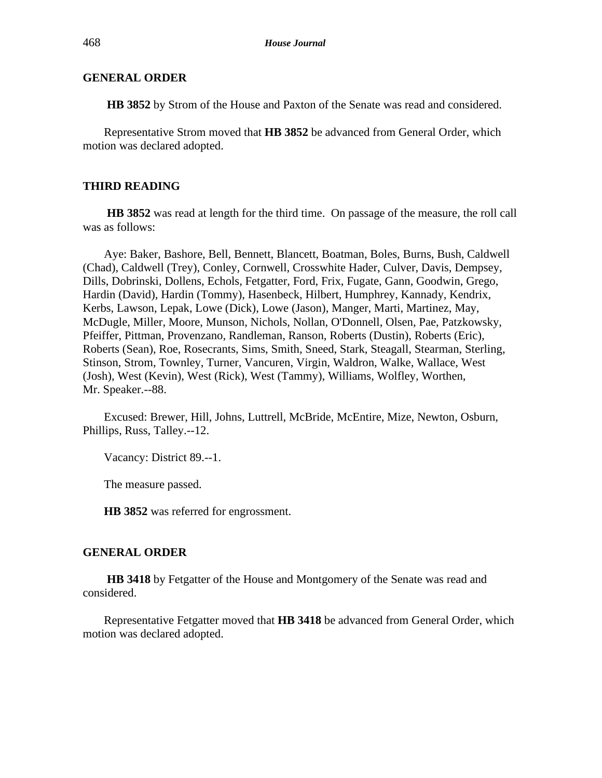**HB 3852** by Strom of the House and Paxton of the Senate was read and considered.

Representative Strom moved that **HB 3852** be advanced from General Order, which motion was declared adopted.

#### **THIRD READING**

**HB 3852** was read at length for the third time. On passage of the measure, the roll call was as follows:

Aye: Baker, Bashore, Bell, Bennett, Blancett, Boatman, Boles, Burns, Bush, Caldwell (Chad), Caldwell (Trey), Conley, Cornwell, Crosswhite Hader, Culver, Davis, Dempsey, Dills, Dobrinski, Dollens, Echols, Fetgatter, Ford, Frix, Fugate, Gann, Goodwin, Grego, Hardin (David), Hardin (Tommy), Hasenbeck, Hilbert, Humphrey, Kannady, Kendrix, Kerbs, Lawson, Lepak, Lowe (Dick), Lowe (Jason), Manger, Marti, Martinez, May, McDugle, Miller, Moore, Munson, Nichols, Nollan, O'Donnell, Olsen, Pae, Patzkowsky, Pfeiffer, Pittman, Provenzano, Randleman, Ranson, Roberts (Dustin), Roberts (Eric), Roberts (Sean), Roe, Rosecrants, Sims, Smith, Sneed, Stark, Steagall, Stearman, Sterling, Stinson, Strom, Townley, Turner, Vancuren, Virgin, Waldron, Walke, Wallace, West (Josh), West (Kevin), West (Rick), West (Tammy), Williams, Wolfley, Worthen, Mr. Speaker.--88.

Excused: Brewer, Hill, Johns, Luttrell, McBride, McEntire, Mize, Newton, Osburn, Phillips, Russ, Talley.--12.

Vacancy: District 89.--1.

The measure passed.

**HB 3852** was referred for engrossment.

#### **GENERAL ORDER**

**HB 3418** by Fetgatter of the House and Montgomery of the Senate was read and considered.

Representative Fetgatter moved that **HB 3418** be advanced from General Order, which motion was declared adopted.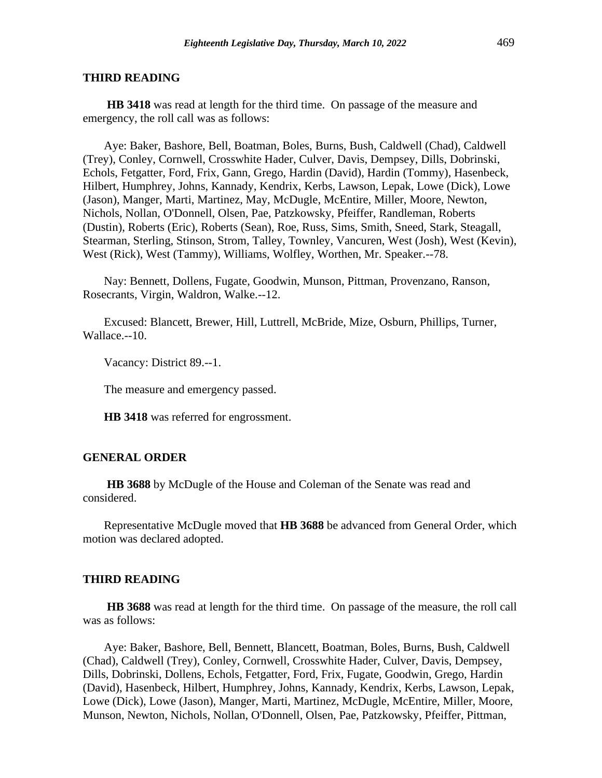#### **THIRD READING**

**HB 3418** was read at length for the third time. On passage of the measure and emergency, the roll call was as follows:

Aye: Baker, Bashore, Bell, Boatman, Boles, Burns, Bush, Caldwell (Chad), Caldwell (Trey), Conley, Cornwell, Crosswhite Hader, Culver, Davis, Dempsey, Dills, Dobrinski, Echols, Fetgatter, Ford, Frix, Gann, Grego, Hardin (David), Hardin (Tommy), Hasenbeck, Hilbert, Humphrey, Johns, Kannady, Kendrix, Kerbs, Lawson, Lepak, Lowe (Dick), Lowe (Jason), Manger, Marti, Martinez, May, McDugle, McEntire, Miller, Moore, Newton, Nichols, Nollan, O'Donnell, Olsen, Pae, Patzkowsky, Pfeiffer, Randleman, Roberts (Dustin), Roberts (Eric), Roberts (Sean), Roe, Russ, Sims, Smith, Sneed, Stark, Steagall, Stearman, Sterling, Stinson, Strom, Talley, Townley, Vancuren, West (Josh), West (Kevin), West (Rick), West (Tammy), Williams, Wolfley, Worthen, Mr. Speaker.--78.

Nay: Bennett, Dollens, Fugate, Goodwin, Munson, Pittman, Provenzano, Ranson, Rosecrants, Virgin, Waldron, Walke.--12.

Excused: Blancett, Brewer, Hill, Luttrell, McBride, Mize, Osburn, Phillips, Turner, Wallace.--10.

Vacancy: District 89.--1.

The measure and emergency passed.

**HB 3418** was referred for engrossment.

#### **GENERAL ORDER**

**HB 3688** by McDugle of the House and Coleman of the Senate was read and considered.

Representative McDugle moved that **HB 3688** be advanced from General Order, which motion was declared adopted.

#### **THIRD READING**

**HB 3688** was read at length for the third time. On passage of the measure, the roll call was as follows:

Aye: Baker, Bashore, Bell, Bennett, Blancett, Boatman, Boles, Burns, Bush, Caldwell (Chad), Caldwell (Trey), Conley, Cornwell, Crosswhite Hader, Culver, Davis, Dempsey, Dills, Dobrinski, Dollens, Echols, Fetgatter, Ford, Frix, Fugate, Goodwin, Grego, Hardin (David), Hasenbeck, Hilbert, Humphrey, Johns, Kannady, Kendrix, Kerbs, Lawson, Lepak, Lowe (Dick), Lowe (Jason), Manger, Marti, Martinez, McDugle, McEntire, Miller, Moore, Munson, Newton, Nichols, Nollan, O'Donnell, Olsen, Pae, Patzkowsky, Pfeiffer, Pittman,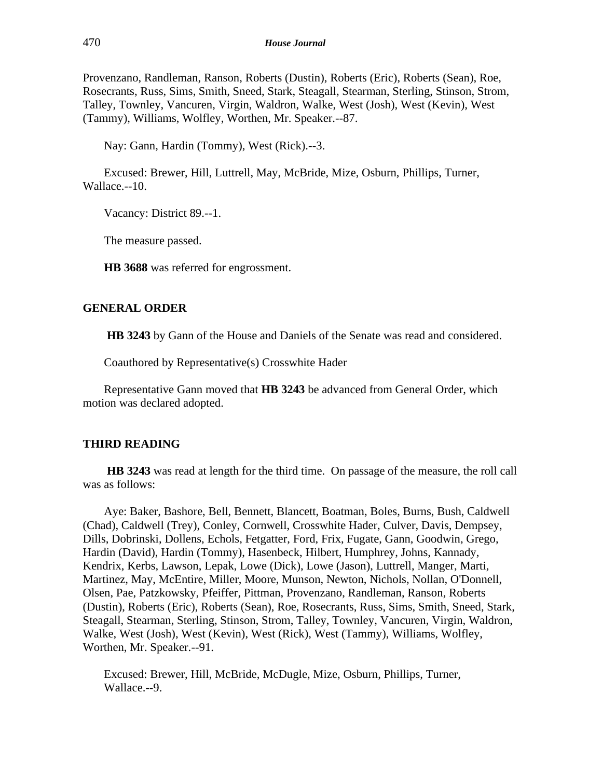Provenzano, Randleman, Ranson, Roberts (Dustin), Roberts (Eric), Roberts (Sean), Roe, Rosecrants, Russ, Sims, Smith, Sneed, Stark, Steagall, Stearman, Sterling, Stinson, Strom, Talley, Townley, Vancuren, Virgin, Waldron, Walke, West (Josh), West (Kevin), West (Tammy), Williams, Wolfley, Worthen, Mr. Speaker.--87.

Nay: Gann, Hardin (Tommy), West (Rick).--3.

Excused: Brewer, Hill, Luttrell, May, McBride, Mize, Osburn, Phillips, Turner, Wallace.--10.

Vacancy: District 89.--1.

The measure passed.

**HB 3688** was referred for engrossment.

#### **GENERAL ORDER**

**HB 3243** by Gann of the House and Daniels of the Senate was read and considered.

Coauthored by Representative(s) Crosswhite Hader

Representative Gann moved that **HB 3243** be advanced from General Order, which motion was declared adopted.

#### **THIRD READING**

**HB 3243** was read at length for the third time. On passage of the measure, the roll call was as follows:

Aye: Baker, Bashore, Bell, Bennett, Blancett, Boatman, Boles, Burns, Bush, Caldwell (Chad), Caldwell (Trey), Conley, Cornwell, Crosswhite Hader, Culver, Davis, Dempsey, Dills, Dobrinski, Dollens, Echols, Fetgatter, Ford, Frix, Fugate, Gann, Goodwin, Grego, Hardin (David), Hardin (Tommy), Hasenbeck, Hilbert, Humphrey, Johns, Kannady, Kendrix, Kerbs, Lawson, Lepak, Lowe (Dick), Lowe (Jason), Luttrell, Manger, Marti, Martinez, May, McEntire, Miller, Moore, Munson, Newton, Nichols, Nollan, O'Donnell, Olsen, Pae, Patzkowsky, Pfeiffer, Pittman, Provenzano, Randleman, Ranson, Roberts (Dustin), Roberts (Eric), Roberts (Sean), Roe, Rosecrants, Russ, Sims, Smith, Sneed, Stark, Steagall, Stearman, Sterling, Stinson, Strom, Talley, Townley, Vancuren, Virgin, Waldron, Walke, West (Josh), West (Kevin), West (Rick), West (Tammy), Williams, Wolfley, Worthen, Mr. Speaker.--91.

Excused: Brewer, Hill, McBride, McDugle, Mize, Osburn, Phillips, Turner, Wallace.--9.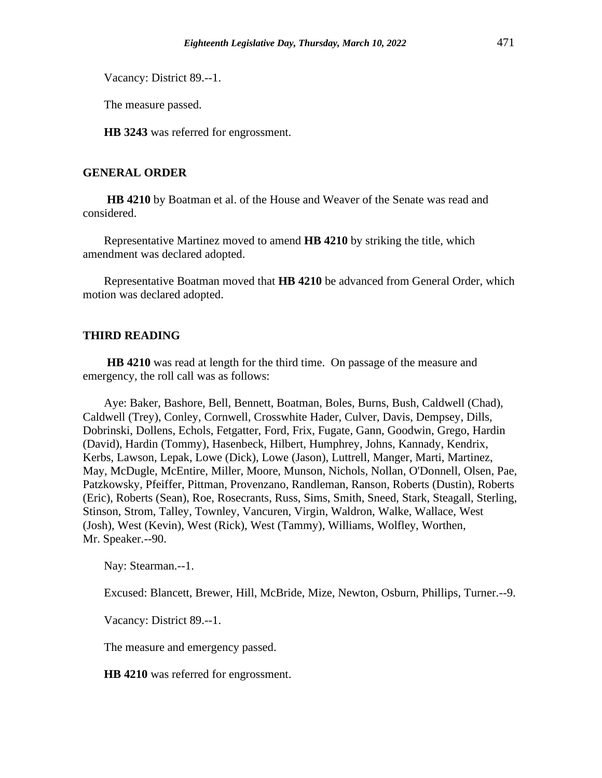Vacancy: District 89.--1.

The measure passed.

**HB 3243** was referred for engrossment.

# **GENERAL ORDER**

**HB 4210** by Boatman et al. of the House and Weaver of the Senate was read and considered.

Representative Martinez moved to amend **HB 4210** by striking the title, which amendment was declared adopted.

Representative Boatman moved that **HB 4210** be advanced from General Order, which motion was declared adopted.

# **THIRD READING**

**HB 4210** was read at length for the third time. On passage of the measure and emergency, the roll call was as follows:

Aye: Baker, Bashore, Bell, Bennett, Boatman, Boles, Burns, Bush, Caldwell (Chad), Caldwell (Trey), Conley, Cornwell, Crosswhite Hader, Culver, Davis, Dempsey, Dills, Dobrinski, Dollens, Echols, Fetgatter, Ford, Frix, Fugate, Gann, Goodwin, Grego, Hardin (David), Hardin (Tommy), Hasenbeck, Hilbert, Humphrey, Johns, Kannady, Kendrix, Kerbs, Lawson, Lepak, Lowe (Dick), Lowe (Jason), Luttrell, Manger, Marti, Martinez, May, McDugle, McEntire, Miller, Moore, Munson, Nichols, Nollan, O'Donnell, Olsen, Pae, Patzkowsky, Pfeiffer, Pittman, Provenzano, Randleman, Ranson, Roberts (Dustin), Roberts (Eric), Roberts (Sean), Roe, Rosecrants, Russ, Sims, Smith, Sneed, Stark, Steagall, Sterling, Stinson, Strom, Talley, Townley, Vancuren, Virgin, Waldron, Walke, Wallace, West (Josh), West (Kevin), West (Rick), West (Tammy), Williams, Wolfley, Worthen, Mr. Speaker.--90.

Nay: Stearman.--1.

Excused: Blancett, Brewer, Hill, McBride, Mize, Newton, Osburn, Phillips, Turner.--9.

Vacancy: District 89.--1.

The measure and emergency passed.

**HB 4210** was referred for engrossment.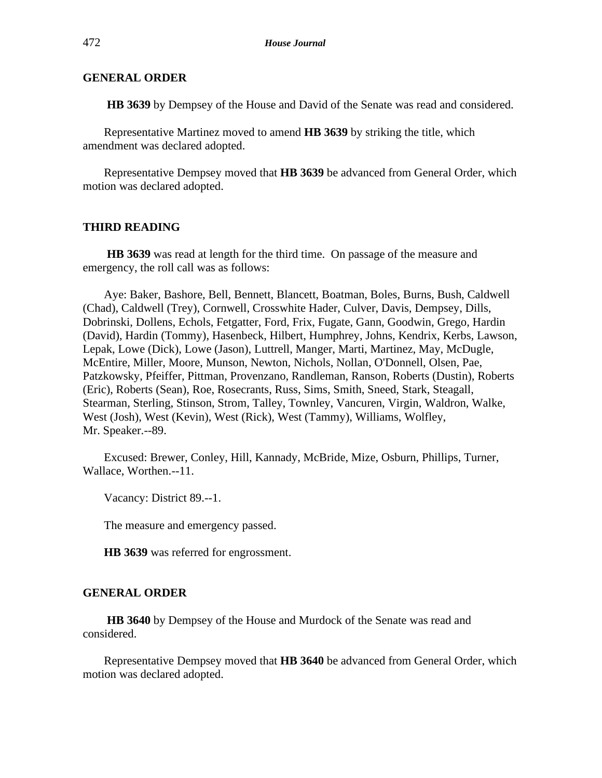**HB 3639** by Dempsey of the House and David of the Senate was read and considered.

Representative Martinez moved to amend **HB 3639** by striking the title, which amendment was declared adopted.

Representative Dempsey moved that **HB 3639** be advanced from General Order, which motion was declared adopted.

# **THIRD READING**

**HB 3639** was read at length for the third time. On passage of the measure and emergency, the roll call was as follows:

Aye: Baker, Bashore, Bell, Bennett, Blancett, Boatman, Boles, Burns, Bush, Caldwell (Chad), Caldwell (Trey), Cornwell, Crosswhite Hader, Culver, Davis, Dempsey, Dills, Dobrinski, Dollens, Echols, Fetgatter, Ford, Frix, Fugate, Gann, Goodwin, Grego, Hardin (David), Hardin (Tommy), Hasenbeck, Hilbert, Humphrey, Johns, Kendrix, Kerbs, Lawson, Lepak, Lowe (Dick), Lowe (Jason), Luttrell, Manger, Marti, Martinez, May, McDugle, McEntire, Miller, Moore, Munson, Newton, Nichols, Nollan, O'Donnell, Olsen, Pae, Patzkowsky, Pfeiffer, Pittman, Provenzano, Randleman, Ranson, Roberts (Dustin), Roberts (Eric), Roberts (Sean), Roe, Rosecrants, Russ, Sims, Smith, Sneed, Stark, Steagall, Stearman, Sterling, Stinson, Strom, Talley, Townley, Vancuren, Virgin, Waldron, Walke, West (Josh), West (Kevin), West (Rick), West (Tammy), Williams, Wolfley, Mr. Speaker.--89.

Excused: Brewer, Conley, Hill, Kannady, McBride, Mize, Osburn, Phillips, Turner, Wallace, Worthen.--11.

Vacancy: District 89.--1.

The measure and emergency passed.

**HB 3639** was referred for engrossment.

# **GENERAL ORDER**

**HB 3640** by Dempsey of the House and Murdock of the Senate was read and considered.

Representative Dempsey moved that **HB 3640** be advanced from General Order, which motion was declared adopted.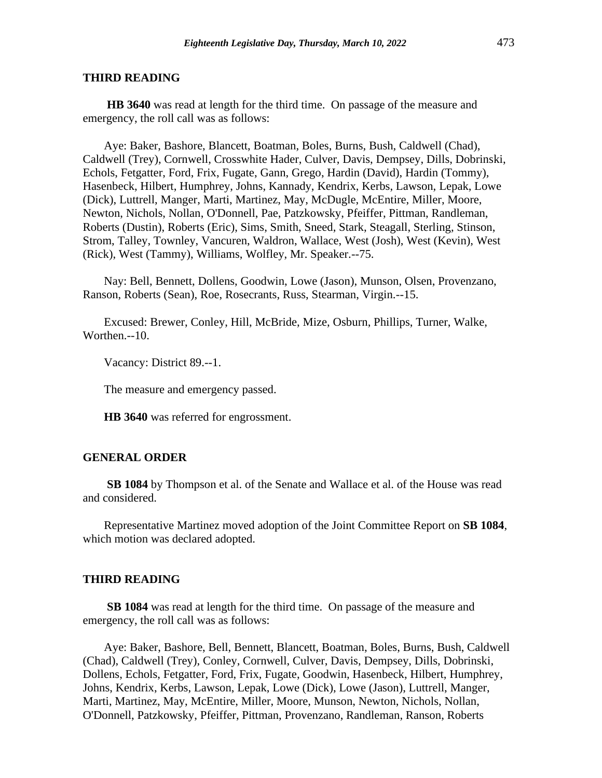#### **THIRD READING**

**HB 3640** was read at length for the third time. On passage of the measure and emergency, the roll call was as follows:

Aye: Baker, Bashore, Blancett, Boatman, Boles, Burns, Bush, Caldwell (Chad), Caldwell (Trey), Cornwell, Crosswhite Hader, Culver, Davis, Dempsey, Dills, Dobrinski, Echols, Fetgatter, Ford, Frix, Fugate, Gann, Grego, Hardin (David), Hardin (Tommy), Hasenbeck, Hilbert, Humphrey, Johns, Kannady, Kendrix, Kerbs, Lawson, Lepak, Lowe (Dick), Luttrell, Manger, Marti, Martinez, May, McDugle, McEntire, Miller, Moore, Newton, Nichols, Nollan, O'Donnell, Pae, Patzkowsky, Pfeiffer, Pittman, Randleman, Roberts (Dustin), Roberts (Eric), Sims, Smith, Sneed, Stark, Steagall, Sterling, Stinson, Strom, Talley, Townley, Vancuren, Waldron, Wallace, West (Josh), West (Kevin), West (Rick), West (Tammy), Williams, Wolfley, Mr. Speaker.--75.

Nay: Bell, Bennett, Dollens, Goodwin, Lowe (Jason), Munson, Olsen, Provenzano, Ranson, Roberts (Sean), Roe, Rosecrants, Russ, Stearman, Virgin.--15.

Excused: Brewer, Conley, Hill, McBride, Mize, Osburn, Phillips, Turner, Walke, Worthen.--10.

Vacancy: District 89.--1.

The measure and emergency passed.

**HB 3640** was referred for engrossment.

#### **GENERAL ORDER**

**SB 1084** by Thompson et al. of the Senate and Wallace et al. of the House was read and considered.

Representative Martinez moved adoption of the Joint Committee Report on **SB 1084**, which motion was declared adopted.

#### **THIRD READING**

**SB 1084** was read at length for the third time. On passage of the measure and emergency, the roll call was as follows:

Aye: Baker, Bashore, Bell, Bennett, Blancett, Boatman, Boles, Burns, Bush, Caldwell (Chad), Caldwell (Trey), Conley, Cornwell, Culver, Davis, Dempsey, Dills, Dobrinski, Dollens, Echols, Fetgatter, Ford, Frix, Fugate, Goodwin, Hasenbeck, Hilbert, Humphrey, Johns, Kendrix, Kerbs, Lawson, Lepak, Lowe (Dick), Lowe (Jason), Luttrell, Manger, Marti, Martinez, May, McEntire, Miller, Moore, Munson, Newton, Nichols, Nollan, O'Donnell, Patzkowsky, Pfeiffer, Pittman, Provenzano, Randleman, Ranson, Roberts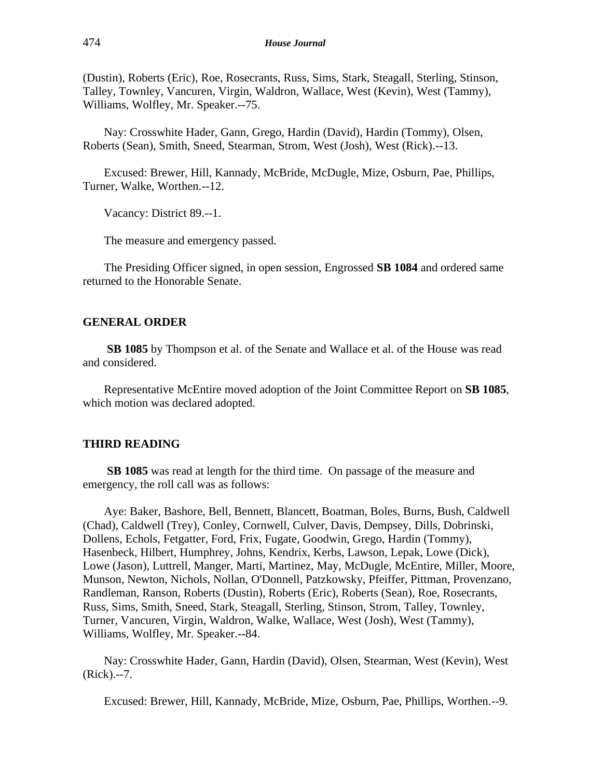(Dustin), Roberts (Eric), Roe, Rosecrants, Russ, Sims, Stark, Steagall, Sterling, Stinson, Talley, Townley, Vancuren, Virgin, Waldron, Wallace, West (Kevin), West (Tammy), Williams, Wolfley, Mr. Speaker.--75.

Nay: Crosswhite Hader, Gann, Grego, Hardin (David), Hardin (Tommy), Olsen, Roberts (Sean), Smith, Sneed, Stearman, Strom, West (Josh), West (Rick).--13.

Excused: Brewer, Hill, Kannady, McBride, McDugle, Mize, Osburn, Pae, Phillips, Turner, Walke, Worthen.--12.

Vacancy: District 89.--1.

The measure and emergency passed.

The Presiding Officer signed, in open session, Engrossed **SB 1084** and ordered same returned to the Honorable Senate.

#### **GENERAL ORDER**

**SB 1085** by Thompson et al. of the Senate and Wallace et al. of the House was read and considered.

Representative McEntire moved adoption of the Joint Committee Report on **SB 1085**, which motion was declared adopted.

#### **THIRD READING**

**SB 1085** was read at length for the third time. On passage of the measure and emergency, the roll call was as follows:

Aye: Baker, Bashore, Bell, Bennett, Blancett, Boatman, Boles, Burns, Bush, Caldwell (Chad), Caldwell (Trey), Conley, Cornwell, Culver, Davis, Dempsey, Dills, Dobrinski, Dollens, Echols, Fetgatter, Ford, Frix, Fugate, Goodwin, Grego, Hardin (Tommy), Hasenbeck, Hilbert, Humphrey, Johns, Kendrix, Kerbs, Lawson, Lepak, Lowe (Dick), Lowe (Jason), Luttrell, Manger, Marti, Martinez, May, McDugle, McEntire, Miller, Moore, Munson, Newton, Nichols, Nollan, O'Donnell, Patzkowsky, Pfeiffer, Pittman, Provenzano, Randleman, Ranson, Roberts (Dustin), Roberts (Eric), Roberts (Sean), Roe, Rosecrants, Russ, Sims, Smith, Sneed, Stark, Steagall, Sterling, Stinson, Strom, Talley, Townley, Turner, Vancuren, Virgin, Waldron, Walke, Wallace, West (Josh), West (Tammy), Williams, Wolfley, Mr. Speaker.--84.

Nay: Crosswhite Hader, Gann, Hardin (David), Olsen, Stearman, West (Kevin), West (Rick).--7.

Excused: Brewer, Hill, Kannady, McBride, Mize, Osburn, Pae, Phillips, Worthen.--9.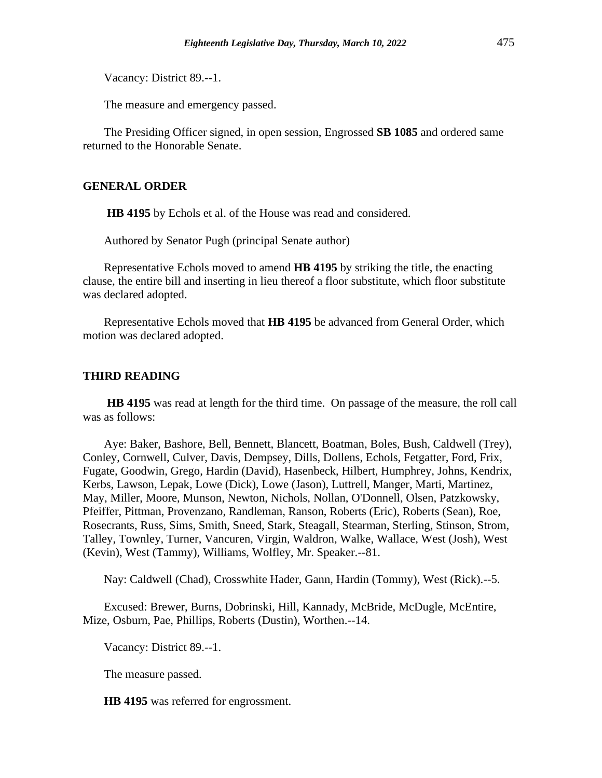Vacancy: District 89.--1.

The measure and emergency passed.

The Presiding Officer signed, in open session, Engrossed **SB 1085** and ordered same returned to the Honorable Senate.

#### **GENERAL ORDER**

**HB 4195** by Echols et al. of the House was read and considered.

Authored by Senator Pugh (principal Senate author)

Representative Echols moved to amend **HB 4195** by striking the title, the enacting clause, the entire bill and inserting in lieu thereof a floor substitute, which floor substitute was declared adopted.

Representative Echols moved that **HB 4195** be advanced from General Order, which motion was declared adopted.

#### **THIRD READING**

**HB 4195** was read at length for the third time. On passage of the measure, the roll call was as follows:

Aye: Baker, Bashore, Bell, Bennett, Blancett, Boatman, Boles, Bush, Caldwell (Trey), Conley, Cornwell, Culver, Davis, Dempsey, Dills, Dollens, Echols, Fetgatter, Ford, Frix, Fugate, Goodwin, Grego, Hardin (David), Hasenbeck, Hilbert, Humphrey, Johns, Kendrix, Kerbs, Lawson, Lepak, Lowe (Dick), Lowe (Jason), Luttrell, Manger, Marti, Martinez, May, Miller, Moore, Munson, Newton, Nichols, Nollan, O'Donnell, Olsen, Patzkowsky, Pfeiffer, Pittman, Provenzano, Randleman, Ranson, Roberts (Eric), Roberts (Sean), Roe, Rosecrants, Russ, Sims, Smith, Sneed, Stark, Steagall, Stearman, Sterling, Stinson, Strom, Talley, Townley, Turner, Vancuren, Virgin, Waldron, Walke, Wallace, West (Josh), West (Kevin), West (Tammy), Williams, Wolfley, Mr. Speaker.--81.

Nay: Caldwell (Chad), Crosswhite Hader, Gann, Hardin (Tommy), West (Rick).--5.

Excused: Brewer, Burns, Dobrinski, Hill, Kannady, McBride, McDugle, McEntire, Mize, Osburn, Pae, Phillips, Roberts (Dustin), Worthen.--14.

Vacancy: District 89.--1.

The measure passed.

**HB 4195** was referred for engrossment.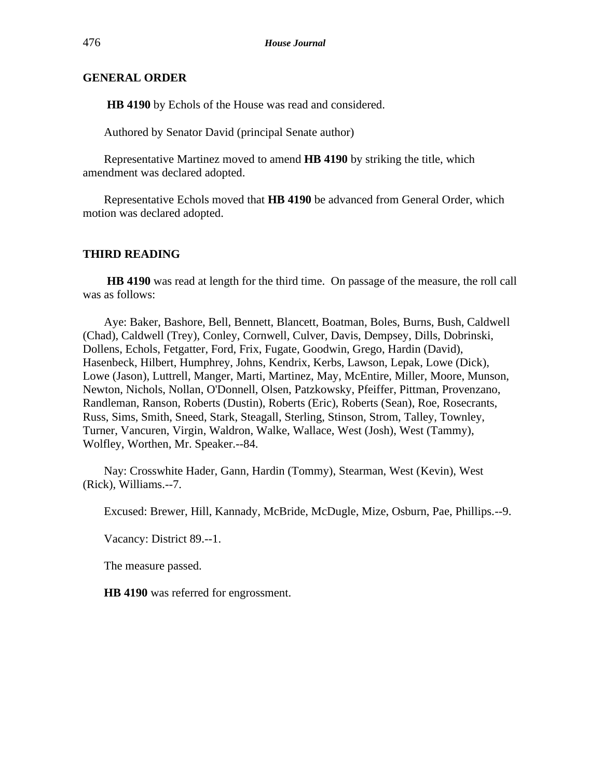**HB 4190** by Echols of the House was read and considered.

Authored by Senator David (principal Senate author)

Representative Martinez moved to amend **HB 4190** by striking the title, which amendment was declared adopted.

Representative Echols moved that **HB 4190** be advanced from General Order, which motion was declared adopted.

# **THIRD READING**

**HB 4190** was read at length for the third time. On passage of the measure, the roll call was as follows:

Aye: Baker, Bashore, Bell, Bennett, Blancett, Boatman, Boles, Burns, Bush, Caldwell (Chad), Caldwell (Trey), Conley, Cornwell, Culver, Davis, Dempsey, Dills, Dobrinski, Dollens, Echols, Fetgatter, Ford, Frix, Fugate, Goodwin, Grego, Hardin (David), Hasenbeck, Hilbert, Humphrey, Johns, Kendrix, Kerbs, Lawson, Lepak, Lowe (Dick), Lowe (Jason), Luttrell, Manger, Marti, Martinez, May, McEntire, Miller, Moore, Munson, Newton, Nichols, Nollan, O'Donnell, Olsen, Patzkowsky, Pfeiffer, Pittman, Provenzano, Randleman, Ranson, Roberts (Dustin), Roberts (Eric), Roberts (Sean), Roe, Rosecrants, Russ, Sims, Smith, Sneed, Stark, Steagall, Sterling, Stinson, Strom, Talley, Townley, Turner, Vancuren, Virgin, Waldron, Walke, Wallace, West (Josh), West (Tammy), Wolfley, Worthen, Mr. Speaker.--84.

Nay: Crosswhite Hader, Gann, Hardin (Tommy), Stearman, West (Kevin), West (Rick), Williams.--7.

Excused: Brewer, Hill, Kannady, McBride, McDugle, Mize, Osburn, Pae, Phillips.--9.

Vacancy: District 89.--1.

The measure passed.

**HB 4190** was referred for engrossment.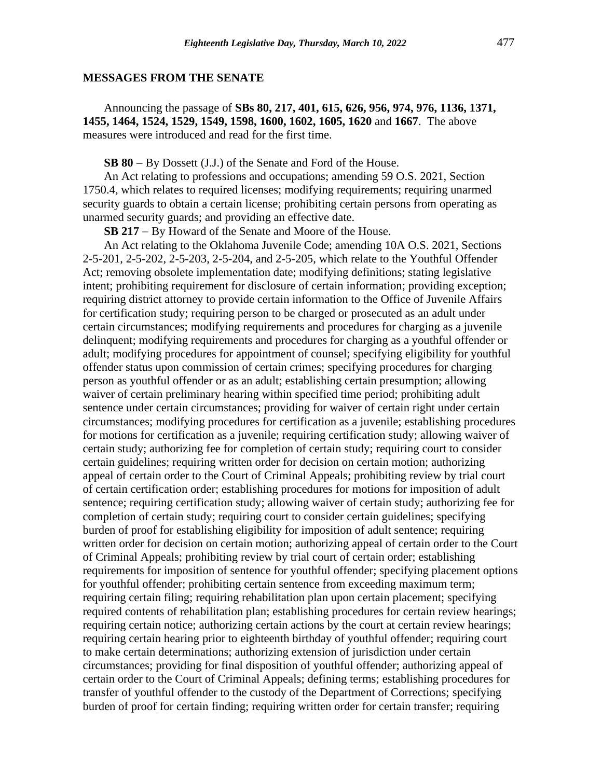## **MESSAGES FROM THE SENATE**

Announcing the passage of **SBs 80, 217, 401, 615, 626, 956, 974, 976, 1136, 1371, 1455, 1464, 1524, 1529, 1549, 1598, 1600, 1602, 1605, 1620** and **1667**. The above measures were introduced and read for the first time.

**SB 80** − By Dossett (J.J.) of the Senate and Ford of the House.

An Act relating to professions and occupations; amending 59 O.S. 2021, Section 1750.4, which relates to required licenses; modifying requirements; requiring unarmed security guards to obtain a certain license; prohibiting certain persons from operating as unarmed security guards; and providing an effective date.

**SB 217** − By Howard of the Senate and Moore of the House.

An Act relating to the Oklahoma Juvenile Code; amending 10A O.S. 2021, Sections 2-5-201, 2-5-202, 2-5-203, 2-5-204, and 2-5-205, which relate to the Youthful Offender Act; removing obsolete implementation date; modifying definitions; stating legislative intent; prohibiting requirement for disclosure of certain information; providing exception; requiring district attorney to provide certain information to the Office of Juvenile Affairs for certification study; requiring person to be charged or prosecuted as an adult under certain circumstances; modifying requirements and procedures for charging as a juvenile delinquent; modifying requirements and procedures for charging as a youthful offender or adult; modifying procedures for appointment of counsel; specifying eligibility for youthful offender status upon commission of certain crimes; specifying procedures for charging person as youthful offender or as an adult; establishing certain presumption; allowing waiver of certain preliminary hearing within specified time period; prohibiting adult sentence under certain circumstances; providing for waiver of certain right under certain circumstances; modifying procedures for certification as a juvenile; establishing procedures for motions for certification as a juvenile; requiring certification study; allowing waiver of certain study; authorizing fee for completion of certain study; requiring court to consider certain guidelines; requiring written order for decision on certain motion; authorizing appeal of certain order to the Court of Criminal Appeals; prohibiting review by trial court of certain certification order; establishing procedures for motions for imposition of adult sentence; requiring certification study; allowing waiver of certain study; authorizing fee for completion of certain study; requiring court to consider certain guidelines; specifying burden of proof for establishing eligibility for imposition of adult sentence; requiring written order for decision on certain motion; authorizing appeal of certain order to the Court of Criminal Appeals; prohibiting review by trial court of certain order; establishing requirements for imposition of sentence for youthful offender; specifying placement options for youthful offender; prohibiting certain sentence from exceeding maximum term; requiring certain filing; requiring rehabilitation plan upon certain placement; specifying required contents of rehabilitation plan; establishing procedures for certain review hearings; requiring certain notice; authorizing certain actions by the court at certain review hearings; requiring certain hearing prior to eighteenth birthday of youthful offender; requiring court to make certain determinations; authorizing extension of jurisdiction under certain circumstances; providing for final disposition of youthful offender; authorizing appeal of certain order to the Court of Criminal Appeals; defining terms; establishing procedures for transfer of youthful offender to the custody of the Department of Corrections; specifying burden of proof for certain finding; requiring written order for certain transfer; requiring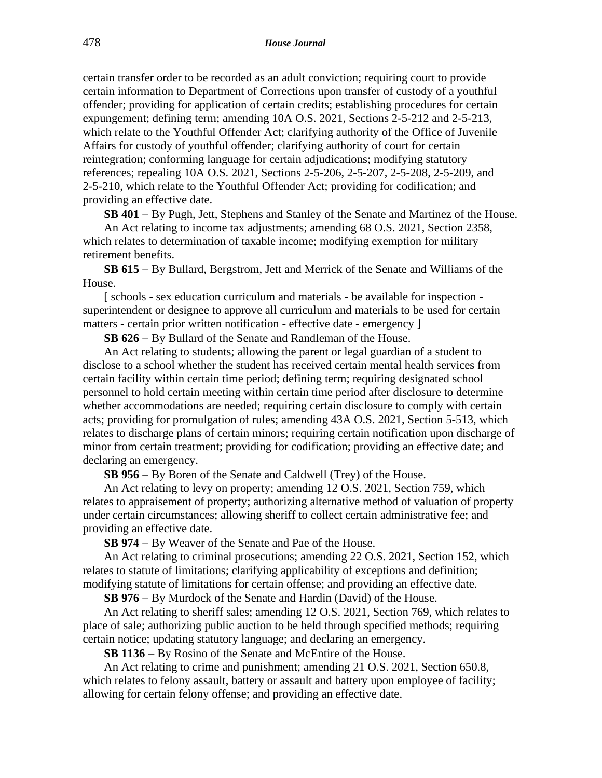certain transfer order to be recorded as an adult conviction; requiring court to provide certain information to Department of Corrections upon transfer of custody of a youthful offender; providing for application of certain credits; establishing procedures for certain expungement; defining term; amending 10A O.S. 2021, Sections 2-5-212 and 2-5-213, which relate to the Youthful Offender Act; clarifying authority of the Office of Juvenile Affairs for custody of youthful offender; clarifying authority of court for certain reintegration; conforming language for certain adjudications; modifying statutory references; repealing 10A O.S. 2021, Sections 2-5-206, 2-5-207, 2-5-208, 2-5-209, and 2-5-210, which relate to the Youthful Offender Act; providing for codification; and providing an effective date.

**SB 401** − By Pugh, Jett, Stephens and Stanley of the Senate and Martinez of the House.

An Act relating to income tax adjustments; amending 68 O.S. 2021, Section 2358, which relates to determination of taxable income; modifying exemption for military retirement benefits.

**SB 615** − By Bullard, Bergstrom, Jett and Merrick of the Senate and Williams of the House.

[ schools - sex education curriculum and materials - be available for inspection superintendent or designee to approve all curriculum and materials to be used for certain matters - certain prior written notification - effective date - emergency ]

**SB 626** − By Bullard of the Senate and Randleman of the House.

An Act relating to students; allowing the parent or legal guardian of a student to disclose to a school whether the student has received certain mental health services from certain facility within certain time period; defining term; requiring designated school personnel to hold certain meeting within certain time period after disclosure to determine whether accommodations are needed; requiring certain disclosure to comply with certain acts; providing for promulgation of rules; amending 43A O.S. 2021, Section 5-513, which relates to discharge plans of certain minors; requiring certain notification upon discharge of minor from certain treatment; providing for codification; providing an effective date; and declaring an emergency.

**SB 956** − By Boren of the Senate and Caldwell (Trey) of the House.

An Act relating to levy on property; amending 12 O.S. 2021, Section 759, which relates to appraisement of property; authorizing alternative method of valuation of property under certain circumstances; allowing sheriff to collect certain administrative fee; and providing an effective date.

**SB 974** − By Weaver of the Senate and Pae of the House.

An Act relating to criminal prosecutions; amending 22 O.S. 2021, Section 152, which relates to statute of limitations; clarifying applicability of exceptions and definition; modifying statute of limitations for certain offense; and providing an effective date.

**SB 976** − By Murdock of the Senate and Hardin (David) of the House.

An Act relating to sheriff sales; amending 12 O.S. 2021, Section 769, which relates to place of sale; authorizing public auction to be held through specified methods; requiring certain notice; updating statutory language; and declaring an emergency.

**SB 1136** − By Rosino of the Senate and McEntire of the House.

An Act relating to crime and punishment; amending 21 O.S. 2021, Section 650.8, which relates to felony assault, battery or assault and battery upon employee of facility; allowing for certain felony offense; and providing an effective date.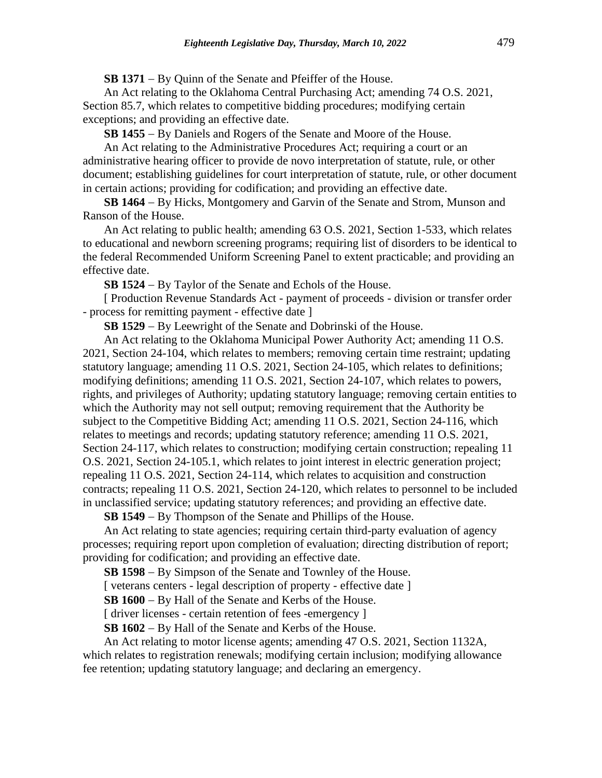**SB 1371** − By Quinn of the Senate and Pfeiffer of the House.

An Act relating to the Oklahoma Central Purchasing Act; amending 74 O.S. 2021, Section 85.7, which relates to competitive bidding procedures; modifying certain exceptions; and providing an effective date.

**SB 1455** − By Daniels and Rogers of the Senate and Moore of the House.

An Act relating to the Administrative Procedures Act; requiring a court or an administrative hearing officer to provide de novo interpretation of statute, rule, or other document; establishing guidelines for court interpretation of statute, rule, or other document in certain actions; providing for codification; and providing an effective date.

**SB 1464** − By Hicks, Montgomery and Garvin of the Senate and Strom, Munson and Ranson of the House.

An Act relating to public health; amending 63 O.S. 2021, Section 1-533, which relates to educational and newborn screening programs; requiring list of disorders to be identical to the federal Recommended Uniform Screening Panel to extent practicable; and providing an effective date.

**SB 1524** − By Taylor of the Senate and Echols of the House.

[ Production Revenue Standards Act - payment of proceeds - division or transfer order - process for remitting payment - effective date ]

**SB 1529** − By Leewright of the Senate and Dobrinski of the House.

An Act relating to the Oklahoma Municipal Power Authority Act; amending 11 O.S. 2021, Section 24-104, which relates to members; removing certain time restraint; updating statutory language; amending 11 O.S. 2021, Section 24-105, which relates to definitions; modifying definitions; amending 11 O.S. 2021, Section 24-107, which relates to powers, rights, and privileges of Authority; updating statutory language; removing certain entities to which the Authority may not sell output; removing requirement that the Authority be subject to the Competitive Bidding Act; amending 11 O.S. 2021, Section 24-116, which relates to meetings and records; updating statutory reference; amending 11 O.S. 2021, Section 24-117, which relates to construction; modifying certain construction; repealing 11 O.S. 2021, Section 24-105.1, which relates to joint interest in electric generation project; repealing 11 O.S. 2021, Section 24-114, which relates to acquisition and construction contracts; repealing 11 O.S. 2021, Section 24-120, which relates to personnel to be included in unclassified service; updating statutory references; and providing an effective date.

**SB 1549** − By Thompson of the Senate and Phillips of the House.

An Act relating to state agencies; requiring certain third-party evaluation of agency processes; requiring report upon completion of evaluation; directing distribution of report; providing for codification; and providing an effective date.

**SB 1598** − By Simpson of the Senate and Townley of the House.

[ veterans centers - legal description of property - effective date ]

**SB 1600** − By Hall of the Senate and Kerbs of the House.

[ driver licenses - certain retention of fees -emergency ]

**SB 1602** − By Hall of the Senate and Kerbs of the House.

An Act relating to motor license agents; amending 47 O.S. 2021, Section 1132A, which relates to registration renewals; modifying certain inclusion; modifying allowance fee retention; updating statutory language; and declaring an emergency.